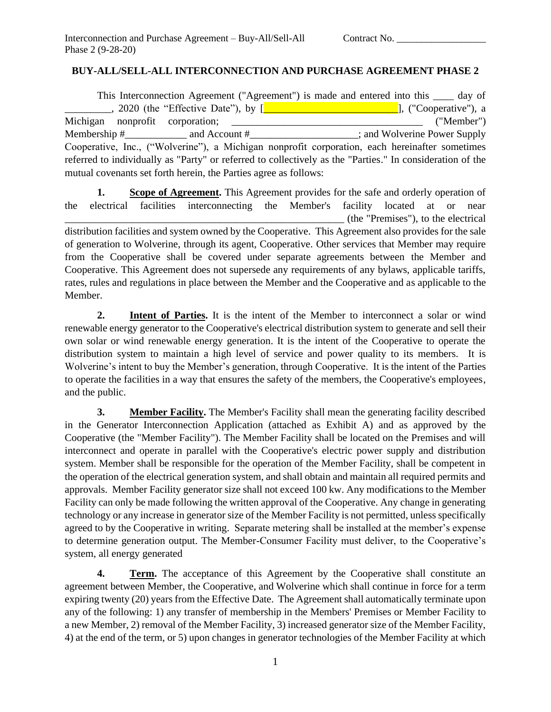## **BUY-ALL/SELL-ALL INTERCONNECTION AND PURCHASE AGREEMENT PHASE 2**

This Interconnection Agreement ("Agreement") is made and entered into this \_\_\_\_ day of \_, 2020 (the "Effective Date"), by [\_\_\_\_\_\_\_\_\_\_\_\_\_\_\_\_\_\_\_\_\_\_\_\_\_\_\_\_\_\_\_], ("Cooperative"), a Michigan nonprofit corporation; \_\_\_\_\_\_\_\_\_\_\_\_\_\_\_\_\_\_\_\_\_\_\_\_\_\_\_\_\_\_\_\_\_\_\_\_\_ ("Member") Membership #  $\qquad \qquad$  and Account #  $\qquad \qquad$  ; and Wolverine Power Supply Cooperative, Inc., ("Wolverine"), a Michigan nonprofit corporation, each hereinafter sometimes referred to individually as "Party" or referred to collectively as the "Parties." In consideration of the mutual covenants set forth herein, the Parties agree as follows:

**1. Scope of Agreement.** This Agreement provides for the safe and orderly operation of the electrical facilities interconnecting the Member's facility located at or near \_\_\_\_\_\_\_\_\_\_\_\_\_\_\_\_\_\_\_\_\_\_\_\_\_\_\_\_\_\_\_\_\_\_\_\_\_\_\_\_\_\_\_\_\_\_\_\_\_\_\_\_\_\_ (the "Premises"), to the electrical distribution facilities and system owned by the Cooperative. This Agreement also provides for the sale of generation to Wolverine, through its agent, Cooperative. Other services that Member may require from the Cooperative shall be covered under separate agreements between the Member and Cooperative. This Agreement does not supersede any requirements of any bylaws, applicable tariffs, rates, rules and regulations in place between the Member and the Cooperative and as applicable to the Member.

**2. Intent of Parties.** It is the intent of the Member to interconnect a solar or wind renewable energy generator to the Cooperative's electrical distribution system to generate and sell their own solar or wind renewable energy generation. It is the intent of the Cooperative to operate the distribution system to maintain a high level of service and power quality to its members. It is Wolverine's intent to buy the Member's generation, through Cooperative. It is the intent of the Parties to operate the facilities in a way that ensures the safety of the members, the Cooperative's employees, and the public.

**3. Member Facility.** The Member's Facility shall mean the generating facility described in the Generator Interconnection Application (attached as Exhibit A) and as approved by the Cooperative (the "Member Facility"). The Member Facility shall be located on the Premises and will interconnect and operate in parallel with the Cooperative's electric power supply and distribution system. Member shall be responsible for the operation of the Member Facility, shall be competent in the operation of the electrical generation system, and shall obtain and maintain all required permits and approvals. Member Facility generator size shall not exceed 100 kw. Any modifications to the Member Facility can only be made following the written approval of the Cooperative. Any change in generating technology or any increase in generator size of the Member Facility is not permitted, unless specifically agreed to by the Cooperative in writing. Separate metering shall be installed at the member's expense to determine generation output. The Member-Consumer Facility must deliver, to the Cooperative's system, all energy generated

**4. Term.** The acceptance of this Agreement by the Cooperative shall constitute an agreement between Member, the Cooperative, and Wolverine which shall continue in force for a term expiring twenty (20) years from the Effective Date. The Agreement shall automatically terminate upon any of the following: 1) any transfer of membership in the Members' Premises or Member Facility to a new Member, 2) removal of the Member Facility, 3) increased generator size of the Member Facility, 4) at the end of the term, or 5) upon changes in generator technologies of the Member Facility at which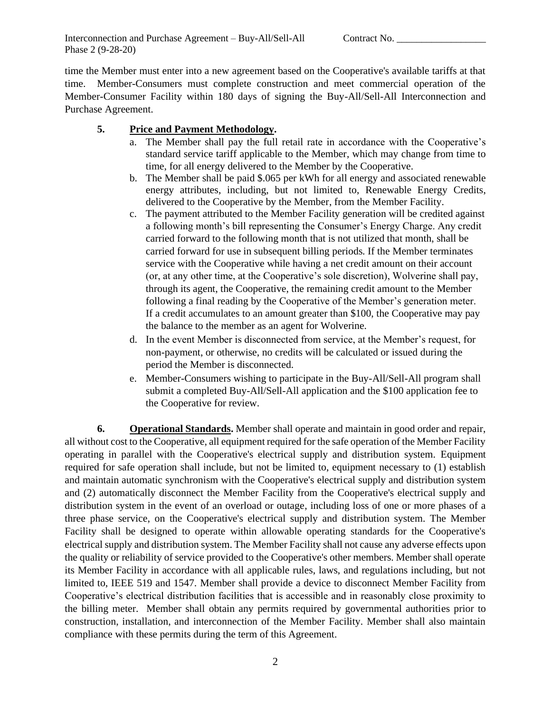Interconnection and Purchase Agreement – Buy-All/Sell-All Contract No. Phase 2 (9-28-20)

time the Member must enter into a new agreement based on the Cooperative's available tariffs at that time. Member-Consumers must complete construction and meet commercial operation of the Member-Consumer Facility within 180 days of signing the Buy-All/Sell-All Interconnection and Purchase Agreement.

## **5. Price and Payment Methodology.**

- a. The Member shall pay the full retail rate in accordance with the Cooperative's standard service tariff applicable to the Member, which may change from time to time, for all energy delivered to the Member by the Cooperative.
- b. The Member shall be paid \$.065 per kWh for all energy and associated renewable energy attributes, including, but not limited to, Renewable Energy Credits, delivered to the Cooperative by the Member, from the Member Facility.
- c. The payment attributed to the Member Facility generation will be credited against a following month's bill representing the Consumer's Energy Charge. Any credit carried forward to the following month that is not utilized that month, shall be carried forward for use in subsequent billing periods. If the Member terminates service with the Cooperative while having a net credit amount on their account (or, at any other time, at the Cooperative's sole discretion), Wolverine shall pay, through its agent, the Cooperative, the remaining credit amount to the Member following a final reading by the Cooperative of the Member's generation meter. If a credit accumulates to an amount greater than \$100, the Cooperative may pay the balance to the member as an agent for Wolverine.
- d. In the event Member is disconnected from service, at the Member's request, for non-payment, or otherwise, no credits will be calculated or issued during the period the Member is disconnected.
- e. Member-Consumers wishing to participate in the Buy-All/Sell-All program shall submit a completed Buy-All/Sell-All application and the \$100 application fee to the Cooperative for review.

**6. Operational Standards.** Member shall operate and maintain in good order and repair, all without cost to the Cooperative, all equipment required for the safe operation of the Member Facility operating in parallel with the Cooperative's electrical supply and distribution system. Equipment required for safe operation shall include, but not be limited to, equipment necessary to (1) establish and maintain automatic synchronism with the Cooperative's electrical supply and distribution system and (2) automatically disconnect the Member Facility from the Cooperative's electrical supply and distribution system in the event of an overload or outage, including loss of one or more phases of a three phase service, on the Cooperative's electrical supply and distribution system. The Member Facility shall be designed to operate within allowable operating standards for the Cooperative's electrical supply and distribution system. The Member Facility shall not cause any adverse effects upon the quality or reliability of service provided to the Cooperative's other members. Member shall operate its Member Facility in accordance with all applicable rules, laws, and regulations including, but not limited to, IEEE 519 and 1547. Member shall provide a device to disconnect Member Facility from Cooperative's electrical distribution facilities that is accessible and in reasonably close proximity to the billing meter. Member shall obtain any permits required by governmental authorities prior to construction, installation, and interconnection of the Member Facility. Member shall also maintain compliance with these permits during the term of this Agreement.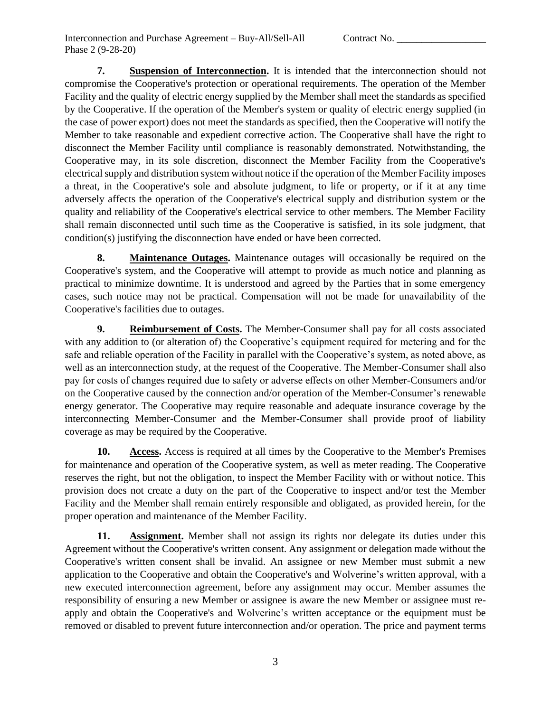**7. Suspension of Interconnection.** It is intended that the interconnection should not compromise the Cooperative's protection or operational requirements. The operation of the Member Facility and the quality of electric energy supplied by the Member shall meet the standards as specified by the Cooperative. If the operation of the Member's system or quality of electric energy supplied (in the case of power export) does not meet the standards as specified, then the Cooperative will notify the Member to take reasonable and expedient corrective action. The Cooperative shall have the right to disconnect the Member Facility until compliance is reasonably demonstrated. Notwithstanding, the Cooperative may, in its sole discretion, disconnect the Member Facility from the Cooperative's electrical supply and distribution system without notice if the operation of the Member Facility imposes a threat, in the Cooperative's sole and absolute judgment, to life or property, or if it at any time adversely affects the operation of the Cooperative's electrical supply and distribution system or the quality and reliability of the Cooperative's electrical service to other members. The Member Facility shall remain disconnected until such time as the Cooperative is satisfied, in its sole judgment, that condition(s) justifying the disconnection have ended or have been corrected.

**8. Maintenance Outages.** Maintenance outages will occasionally be required on the Cooperative's system, and the Cooperative will attempt to provide as much notice and planning as practical to minimize downtime. It is understood and agreed by the Parties that in some emergency cases, such notice may not be practical. Compensation will not be made for unavailability of the Cooperative's facilities due to outages.

**9. Reimbursement of Costs.** The Member-Consumer shall pay for all costs associated with any addition to (or alteration of) the Cooperative's equipment required for metering and for the safe and reliable operation of the Facility in parallel with the Cooperative's system, as noted above, as well as an interconnection study, at the request of the Cooperative. The Member-Consumer shall also pay for costs of changes required due to safety or adverse effects on other Member-Consumers and/or on the Cooperative caused by the connection and/or operation of the Member-Consumer's renewable energy generator. The Cooperative may require reasonable and adequate insurance coverage by the interconnecting Member-Consumer and the Member-Consumer shall provide proof of liability coverage as may be required by the Cooperative.

**10. Access.** Access is required at all times by the Cooperative to the Member's Premises for maintenance and operation of the Cooperative system, as well as meter reading. The Cooperative reserves the right, but not the obligation, to inspect the Member Facility with or without notice. This provision does not create a duty on the part of the Cooperative to inspect and/or test the Member Facility and the Member shall remain entirely responsible and obligated, as provided herein, for the proper operation and maintenance of the Member Facility.

**11. Assignment.** Member shall not assign its rights nor delegate its duties under this Agreement without the Cooperative's written consent. Any assignment or delegation made without the Cooperative's written consent shall be invalid. An assignee or new Member must submit a new application to the Cooperative and obtain the Cooperative's and Wolverine's written approval, with a new executed interconnection agreement, before any assignment may occur. Member assumes the responsibility of ensuring a new Member or assignee is aware the new Member or assignee must reapply and obtain the Cooperative's and Wolverine's written acceptance or the equipment must be removed or disabled to prevent future interconnection and/or operation. The price and payment terms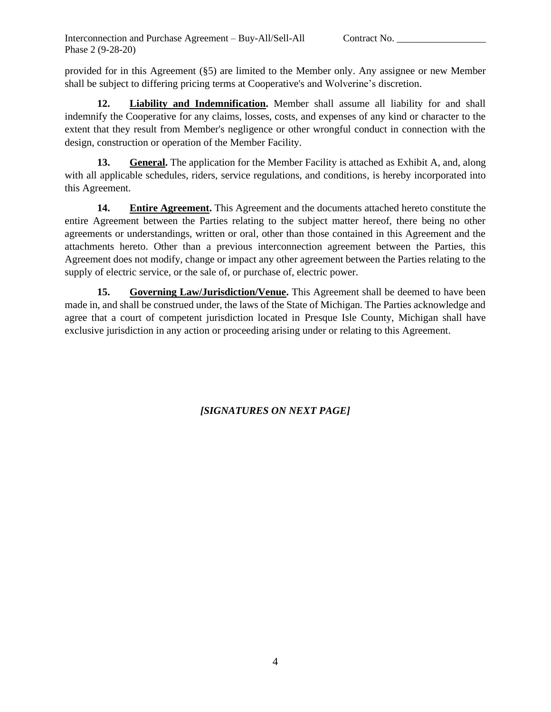provided for in this Agreement (§5) are limited to the Member only. Any assignee or new Member shall be subject to differing pricing terms at Cooperative's and Wolverine's discretion.

**12. Liability and Indemnification.** Member shall assume all liability for and shall indemnify the Cooperative for any claims, losses, costs, and expenses of any kind or character to the extent that they result from Member's negligence or other wrongful conduct in connection with the design, construction or operation of the Member Facility.

**13. General.** The application for the Member Facility is attached as Exhibit A, and, along with all applicable schedules, riders, service regulations, and conditions, is hereby incorporated into this Agreement.

**14. Entire Agreement.** This Agreement and the documents attached hereto constitute the entire Agreement between the Parties relating to the subject matter hereof, there being no other agreements or understandings, written or oral, other than those contained in this Agreement and the attachments hereto. Other than a previous interconnection agreement between the Parties, this Agreement does not modify, change or impact any other agreement between the Parties relating to the supply of electric service, or the sale of, or purchase of, electric power.

**15. Governing Law/Jurisdiction/Venue.** This Agreement shall be deemed to have been made in, and shall be construed under, the laws of the State of Michigan. The Parties acknowledge and agree that a court of competent jurisdiction located in Presque Isle County, Michigan shall have exclusive jurisdiction in any action or proceeding arising under or relating to this Agreement.

*[SIGNATURES ON NEXT PAGE]*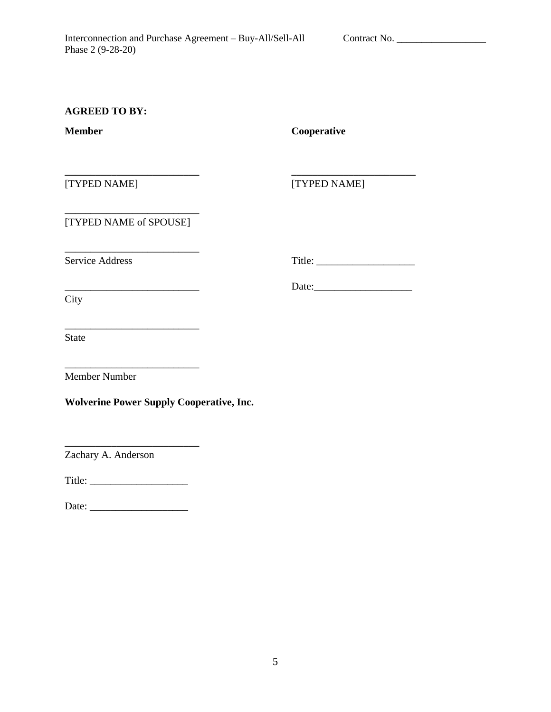## **AGREED TO BY:**

**Member Cooperative**

[TYPED NAME] [TYPED NAME]

**\_\_\_\_\_\_\_\_\_\_\_\_\_\_\_\_\_\_\_\_\_\_\_\_\_\_ \_\_\_\_\_\_\_\_\_\_\_\_\_\_\_\_\_\_\_\_\_\_\_\_**

\_\_\_\_\_\_\_\_\_\_\_\_\_\_\_\_\_\_\_\_\_\_\_\_\_\_ Date:\_\_\_\_\_\_\_\_\_\_\_\_\_\_\_\_\_\_\_

**\_\_\_\_\_\_\_\_\_\_\_\_\_\_\_\_\_\_\_\_\_\_\_\_\_\_** [TYPED NAME of SPOUSE]

\_\_\_\_\_\_\_\_\_\_\_\_\_\_\_\_\_\_\_\_\_\_\_\_\_\_

\_\_\_\_\_\_\_\_\_\_\_\_\_\_\_\_\_\_\_\_\_\_\_\_\_\_

Service Address Title: \_\_\_\_\_\_\_\_\_\_\_\_\_\_\_\_\_\_\_

**City** 

State

Member Number

**Wolverine Power Supply Cooperative, Inc.**

\_\_\_\_\_\_\_\_\_\_\_\_\_\_\_\_\_\_\_\_\_\_\_\_\_\_

**\_\_\_\_\_\_\_\_\_\_\_\_\_\_\_\_\_\_\_\_\_\_\_\_\_\_**

Zachary A. Anderson

Title: \_\_\_\_\_\_\_\_\_\_\_\_\_\_\_\_\_\_\_

Date: \_\_\_\_\_\_\_\_\_\_\_\_\_\_\_\_\_\_\_